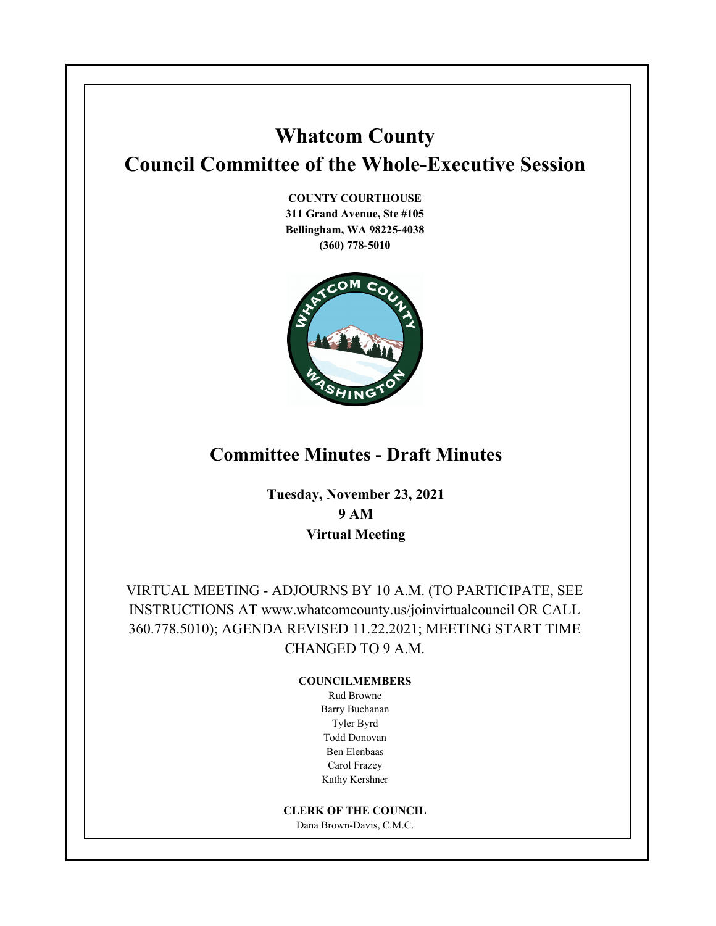# **Whatcom County Council Committee of the Whole-Executive Session**

**COUNTY COURTHOUSE 311 Grand Avenue, Ste #105 Bellingham, WA 98225-4038 (360) 778-5010**



## **Committee Minutes - Draft Minutes**

**Tuesday, November 23, 2021 9 AM Virtual Meeting**

VIRTUAL MEETING - ADJOURNS BY 10 A.M. (TO PARTICIPATE, SEE INSTRUCTIONS AT www.whatcomcounty.us/joinvirtualcouncil OR CALL 360.778.5010); AGENDA REVISED 11.22.2021; MEETING START TIME CHANGED TO 9 A.M.

#### **COUNCILMEMBERS**

Rud Browne Barry Buchanan Tyler Byrd Todd Donovan Ben Elenbaas Carol Frazey Kathy Kershner

#### **CLERK OF THE COUNCIL**

Dana Brown-Davis, C.M.C.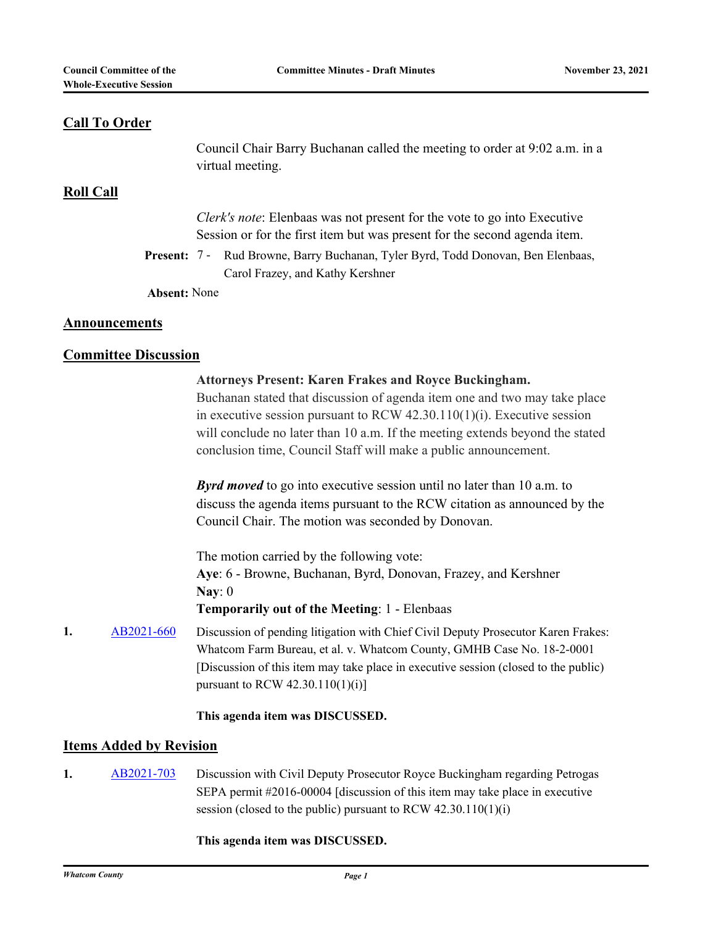#### **Call To Order**

Council Chair Barry Buchanan called the meeting to order at 9:02 a.m. in a virtual meeting.

#### **Roll Call**

*Clerk's note*: Elenbaas was not present for the vote to go into Executive Session or for the first item but was present for the second agenda item.

Present: 7 - Rud Browne, Barry Buchanan, Tyler Byrd, Todd Donovan, Ben Elenbaas, Carol Frazey, and Kathy Kershner

**Absent:** None

#### **Announcements**

#### **Committee Discussion**

|    |            | <b>Attorneys Present: Karen Frakes and Royce Buckingham.</b><br>Buchanan stated that discussion of agenda item one and two may take place<br>in executive session pursuant to RCW $42.30.110(1)(i)$ . Executive session<br>will conclude no later than 10 a.m. If the meeting extends beyond the stated<br>conclusion time, Council Staff will make a public announcement. |
|----|------------|----------------------------------------------------------------------------------------------------------------------------------------------------------------------------------------------------------------------------------------------------------------------------------------------------------------------------------------------------------------------------|
|    |            | <b>Byrd moved</b> to go into executive session until no later than 10 a.m. to<br>discuss the agenda items pursuant to the RCW citation as announced by the<br>Council Chair. The motion was seconded by Donovan.                                                                                                                                                           |
|    |            | The motion carried by the following vote:<br>Aye: 6 - Browne, Buchanan, Byrd, Donovan, Frazey, and Kershner<br>Nay: $0$<br><b>Temporarily out of the Meeting: 1 - Elenbaas</b>                                                                                                                                                                                             |
| 1. | AB2021-660 | Discussion of pending litigation with Chief Civil Deputy Prosecutor Karen Frakes:<br>Whatcom Farm Bureau, et al. v. Whatcom County, GMHB Case No. 18-2-0001<br>[Discussion of this item may take place in executive session (closed to the public)<br>pursuant to RCW $42.30.110(1)(i)$ ]                                                                                  |
|    |            | This agenda item was DISCUSSED.                                                                                                                                                                                                                                                                                                                                            |

### **Items Added by Revision**

1. [AB2021-703](http://whatcom.legistar.com/gateway.aspx?m=l&id=/matter.aspx?key=15849) Discussion with Civil Deputy Prosecutor Royce Buckingham regarding Petrogas SEPA permit #2016-00004 [discussion of this item may take place in executive session (closed to the public) pursuant to RCW 42.30.110(1)(i)

#### **This agenda item was DISCUSSED.**